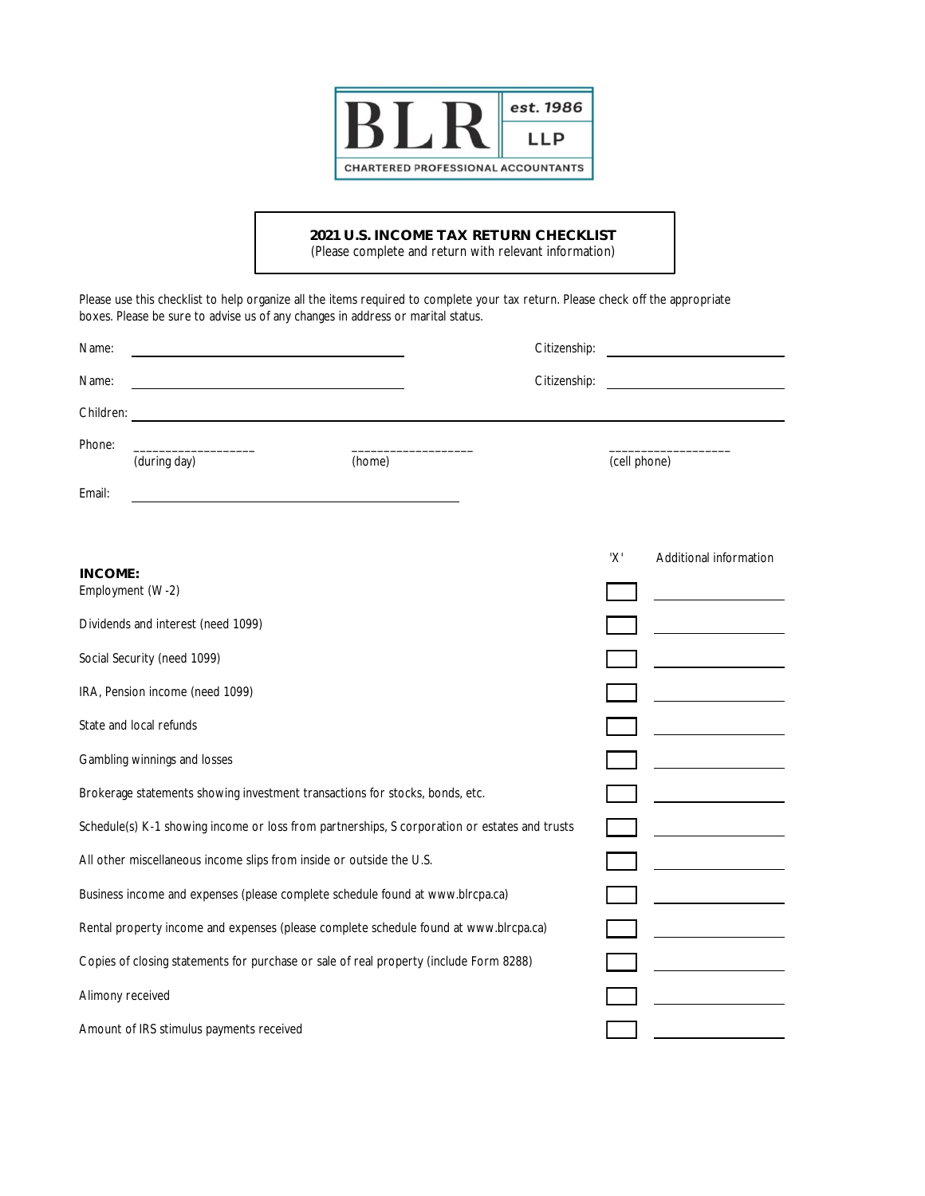

## 2021 U.S. INCOME TAX RETURN CHECKLIST (Please complete and return with relevant information)

Please use this checklist to help organize all the items required to complete your tax return. Please check off the appropriate boxes. Please be sure to advise us of any changes in address or marital status.

| Name:                                                                                         |              |        | Citizenship: |              |                               |
|-----------------------------------------------------------------------------------------------|--------------|--------|--------------|--------------|-------------------------------|
| Name:                                                                                         |              |        | Citizenship: |              |                               |
| Children:                                                                                     |              |        |              |              |                               |
| Phone:                                                                                        |              |        |              |              |                               |
|                                                                                               | (during day) | (home) |              | (cell phone) |                               |
| Email:                                                                                        |              |        |              |              |                               |
|                                                                                               |              |        |              |              |                               |
| <b>INCOME:</b>                                                                                |              |        |              | 'Х'          | <b>Additional information</b> |
| Employment (W-2)                                                                              |              |        |              |              |                               |
| Dividends and interest (need 1099)                                                            |              |        |              |              |                               |
| Social Security (need 1099)                                                                   |              |        |              |              |                               |
| IRA, Pension income (need 1099)                                                               |              |        |              |              |                               |
| State and local refunds                                                                       |              |        |              |              |                               |
| Gambling winnings and losses                                                                  |              |        |              |              |                               |
| Brokerage statements showing investment transactions for stocks, bonds, etc.                  |              |        |              |              |                               |
| Schedule(s) K-1 showing income or loss from partnerships, S corporation or estates and trusts |              |        |              |              |                               |
| All other miscellaneous income slips from inside or outside the U.S.                          |              |        |              |              |                               |
| Business income and expenses (please complete schedule found at www.blrcpa.ca)                |              |        |              |              |                               |
| Rental property income and expenses (please complete schedule found at www.blrcpa.ca)         |              |        |              |              |                               |
| Copies of closing statements for purchase or sale of real property (include Form 8288)        |              |        |              |              |                               |
| Alimony received                                                                              |              |        |              |              |                               |
| Amount of IRS stimulus payments received                                                      |              |        |              |              |                               |